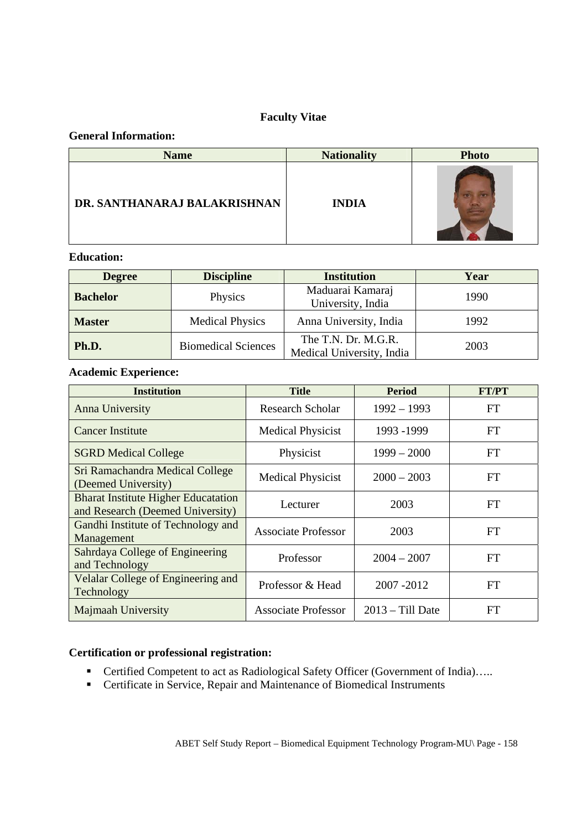## **Faculty Vitae**

## **General Information:**

| <b>Name</b>                  | <b>Nationality</b> | <b>Photo</b> |
|------------------------------|--------------------|--------------|
| DR. SANTHANARAJ BALAKRISHNAN | <b>INDIA</b>       |              |

# **Education:**

| <b>Degree</b>   | <b>Discipline</b>          | <b>Institution</b>                               | Year |
|-----------------|----------------------------|--------------------------------------------------|------|
| <b>Bachelor</b> | Physics                    | Maduarai Kamaraj<br>University, India            | 1990 |
| <b>Master</b>   | <b>Medical Physics</b>     | Anna University, India                           | 1992 |
| Ph.D.           | <b>Biomedical Sciences</b> | The T.N. Dr. M.G.R.<br>Medical University, India | 2003 |

## **Academic Experience:**

| <b>Institution</b>                                                             | <b>Title</b>               | <b>Period</b>      | <b>FT/PT</b> |
|--------------------------------------------------------------------------------|----------------------------|--------------------|--------------|
| Anna University                                                                | <b>Research Scholar</b>    | $1992 - 1993$      | FT           |
| <b>Cancer Institute</b>                                                        | <b>Medical Physicist</b>   | 1993 - 1999        | <b>FT</b>    |
| <b>SGRD Medical College</b>                                                    | Physicist                  | $1999 - 2000$      | <b>FT</b>    |
| Sri Ramachandra Medical College<br>(Deemed University)                         | <b>Medical Physicist</b>   | $2000 - 2003$      | <b>FT</b>    |
| <b>Bharat Institute Higher Educatation</b><br>and Research (Deemed University) | Lecturer                   | 2003               | <b>FT</b>    |
| Gandhi Institute of Technology and<br>Management                               | <b>Associate Professor</b> | 2003               | FT           |
| Sahrdaya College of Engineering<br>and Technology                              | Professor                  | $2004 - 2007$      | <b>FT</b>    |
| Velalar College of Engineering and<br>Technology                               | Professor & Head           | 2007-2012          | <b>FT</b>    |
| Majmaah University                                                             | <b>Associate Professor</b> | $2013 - Till$ Date | <b>FT</b>    |

## **Certification or professional registration:**

- Certified Competent to act as Radiological Safety Officer (Government of India)…..
- Certificate in Service, Repair and Maintenance of Biomedical Instruments